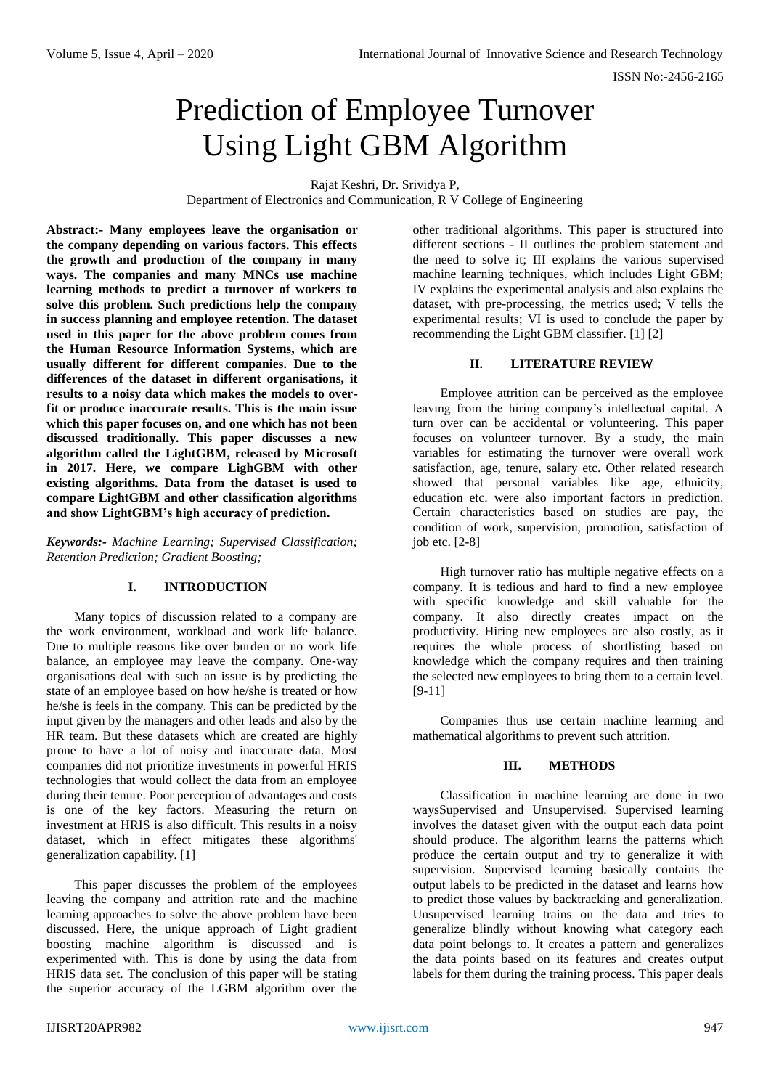# Prediction of Employee Turnover Using Light GBM Algorithm

Rajat Keshri, Dr. Srividya P,

Department of Electronics and Communication, R V College of Engineering

**Abstract:- Many employees leave the organisation or the company depending on various factors. This effects the growth and production of the company in many ways. The companies and many MNCs use machine learning methods to predict a turnover of workers to solve this problem. Such predictions help the company in success planning and employee retention. The dataset used in this paper for the above problem comes from the Human Resource Information Systems, which are usually different for different companies. Due to the differences of the dataset in different organisations, it results to a noisy data which makes the models to overfit or produce inaccurate results. This is the main issue which this paper focuses on, and one which has not been discussed traditionally. This paper discusses a new algorithm called the LightGBM, released by Microsoft in 2017. Here, we compare LighGBM with other existing algorithms. Data from the dataset is used to compare LightGBM and other classification algorithms and show LightGBM's high accuracy of prediction.**

*Keywords:- Machine Learning; Supervised Classification; Retention Prediction; Gradient Boosting;*

## **I. INTRODUCTION**

Many topics of discussion related to a company are the work environment, workload and work life balance. Due to multiple reasons like over burden or no work life balance, an employee may leave the company. One-way organisations deal with such an issue is by predicting the state of an employee based on how he/she is treated or how he/she is feels in the company. This can be predicted by the input given by the managers and other leads and also by the HR team. But these datasets which are created are highly prone to have a lot of noisy and inaccurate data. Most companies did not prioritize investments in powerful HRIS technologies that would collect the data from an employee during their tenure. Poor perception of advantages and costs is one of the key factors. Measuring the return on investment at HRIS is also difficult. This results in a noisy dataset, which in effect mitigates these algorithms' generalization capability. [1]

This paper discusses the problem of the employees leaving the company and attrition rate and the machine learning approaches to solve the above problem have been discussed. Here, the unique approach of Light gradient boosting machine algorithm is discussed and is experimented with. This is done by using the data from HRIS data set. The conclusion of this paper will be stating the superior accuracy of the LGBM algorithm over the

other traditional algorithms. This paper is structured into different sections - II outlines the problem statement and the need to solve it; III explains the various supervised machine learning techniques, which includes Light GBM; IV explains the experimental analysis and also explains the dataset, with pre-processing, the metrics used;  $\overline{V}$  tells the experimental results; VI is used to conclude the paper by recommending the Light GBM classifier. [1] [2]

## **II. LITERATURE REVIEW**

Employee attrition can be perceived as the employee leaving from the hiring company's intellectual capital. A turn over can be accidental or volunteering. This paper focuses on volunteer turnover. By a study, the main variables for estimating the turnover were overall work satisfaction, age, tenure, salary etc. Other related research showed that personal variables like age, ethnicity, education etc. were also important factors in prediction. Certain characteristics based on studies are pay, the condition of work, supervision, promotion, satisfaction of job etc. [2-8]

High turnover ratio has multiple negative effects on a company. It is tedious and hard to find a new employee with specific knowledge and skill valuable for the company. It also directly creates impact on the productivity. Hiring new employees are also costly, as it requires the whole process of shortlisting based on knowledge which the company requires and then training the selected new employees to bring them to a certain level. [9-11]

Companies thus use certain machine learning and mathematical algorithms to prevent such attrition.

#### **III. METHODS**

Classification in machine learning are done in two waysSupervised and Unsupervised. Supervised learning involves the dataset given with the output each data point should produce. The algorithm learns the patterns which produce the certain output and try to generalize it with supervision. Supervised learning basically contains the output labels to be predicted in the dataset and learns how to predict those values by backtracking and generalization. Unsupervised learning trains on the data and tries to generalize blindly without knowing what category each data point belongs to. It creates a pattern and generalizes the data points based on its features and creates output labels for them during the training process. This paper deals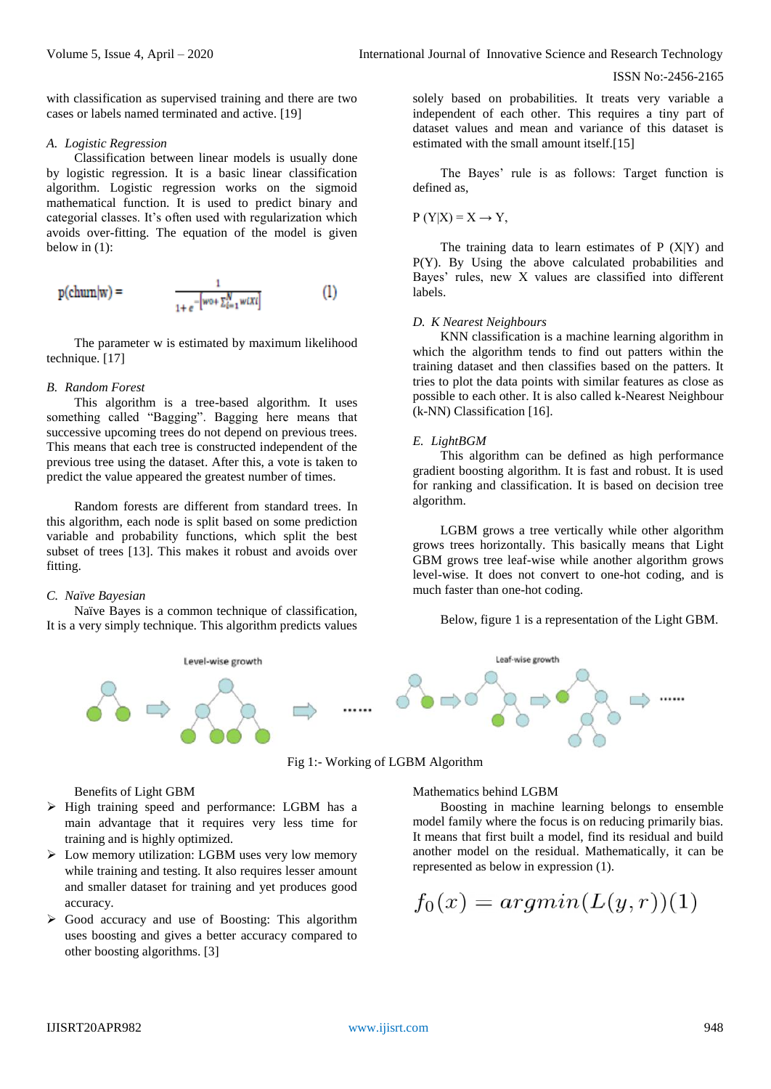with classification as supervised training and there are two cases or labels named terminated and active. [19]

#### *A. Logistic Regression*

Classification between linear models is usually done by logistic regression. It is a basic linear classification algorithm. Logistic regression works on the sigmoid mathematical function. It is used to predict binary and categorial classes. It's often used with regularization which avoids over-fitting. The equation of the model is given below in (1):

$$
p(\text{chum}|w) = \frac{1}{1 + e^{-[w \circ \sum_{i=1}^{N} w(X_i)]}}
$$
(1)

The parameter w is estimated by maximum likelihood technique. [17]

## *B. Random Forest*

This algorithm is a tree-based algorithm. It uses something called "Bagging". Bagging here means that successive upcoming trees do not depend on previous trees. This means that each tree is constructed independent of the previous tree using the dataset. After this, a vote is taken to predict the value appeared the greatest number of times.

Random forests are different from standard trees. In this algorithm, each node is split based on some prediction variable and probability functions, which split the best subset of trees [13]. This makes it robust and avoids over fitting.

# *C. Naïve Bayesian*

Naïve Bayes is a common technique of classification, It is a very simply technique. This algorithm predicts values solely based on probabilities. It treats very variable a independent of each other. This requires a tiny part of dataset values and mean and variance of this dataset is estimated with the small amount itself.[15]

The Bayes' rule is as follows: Target function is defined as,

$$
P(Y|X) = X \rightarrow Y,
$$

The training data to learn estimates of  $P(X|Y)$  and P(Y). By Using the above calculated probabilities and Bayes' rules, new X values are classified into different labels.

## *D. K Nearest Neighbours*

KNN classification is a machine learning algorithm in which the algorithm tends to find out patters within the training dataset and then classifies based on the patters. It tries to plot the data points with similar features as close as possible to each other. It is also called k-Nearest Neighbour (k-NN) Classification [16].

## *E. LightBGM*

This algorithm can be defined as high performance gradient boosting algorithm. It is fast and robust. It is used for ranking and classification. It is based on decision tree algorithm.

LGBM grows a tree vertically while other algorithm grows trees horizontally. This basically means that Light GBM grows tree leaf-wise while another algorithm grows level-wise. It does not convert to one-hot coding, and is much faster than one-hot coding.

Below, figure 1 is a representation of the Light GBM.





Benefits of Light GBM

- $\triangleright$  High training speed and performance: LGBM has a main advantage that it requires very less time for training and is highly optimized.
- $\triangleright$  Low memory utilization: LGBM uses very low memory while training and testing. It also requires lesser amount and smaller dataset for training and yet produces good accuracy.
- $\triangleright$  Good accuracy and use of Boosting: This algorithm uses boosting and gives a better accuracy compared to other boosting algorithms. [3]

Mathematics behind LGBM

Boosting in machine learning belongs to ensemble model family where the focus is on reducing primarily bias. It means that first built a model, find its residual and build another model on the residual. Mathematically, it can be represented as below in expression (1).

$$
f_0(x) = argmin(L(y, r))(1)
$$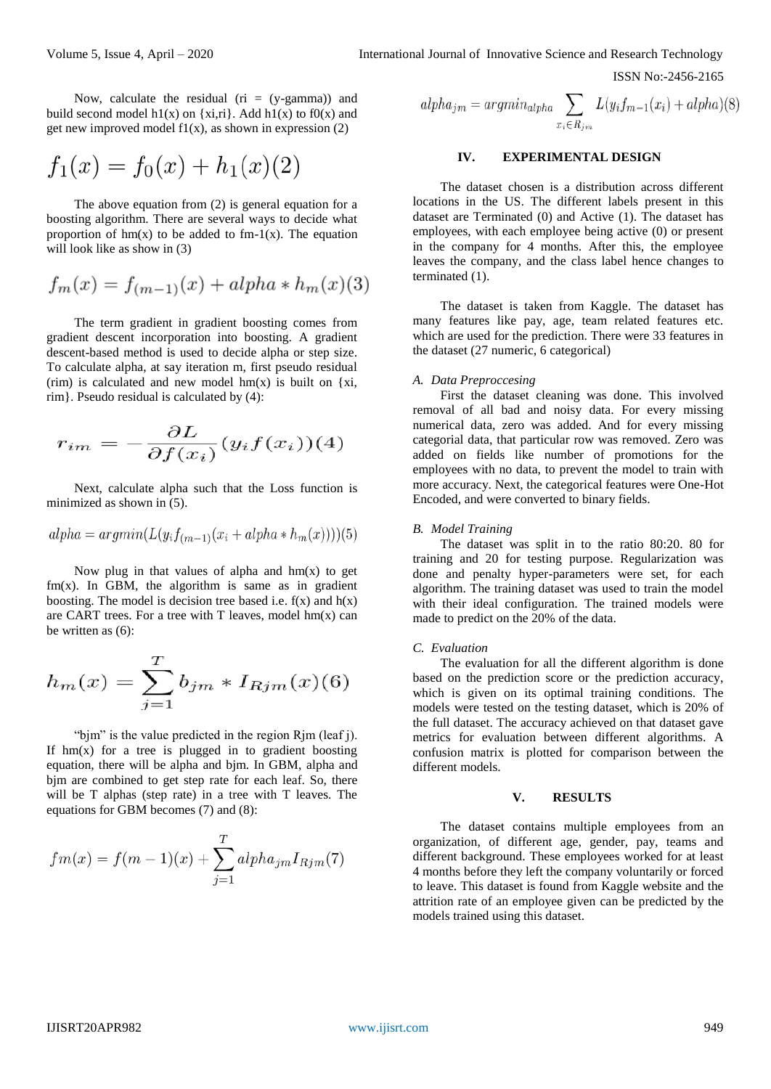Now, calculate the residual ( $ri = (y-gamma)$ ) and build second model h1(x) on  $\{x, \text{ri}\}$ . Add h1(x) to f0(x) and get new improved model  $f(x)$ , as shown in expression (2)

$$
f_1(x) = f_0(x) + h_1(x)(2)
$$

The above equation from (2) is general equation for a boosting algorithm. There are several ways to decide what proportion of  $hm(x)$  to be added to fm-1(x). The equation will look like as show in (3)

$$
f_m(x) = f_{(m-1)}(x) + alpha * h_m(x)(3)
$$

The term gradient in gradient boosting comes from gradient descent incorporation into boosting. A gradient descent-based method is used to decide alpha or step size. To calculate alpha, at say iteration m, first pseudo residual (rim) is calculated and new model  $hm(x)$  is built on {xi, rim}. Pseudo residual is calculated by (4):

$$
r_{im} = -\frac{\partial L}{\partial f(x_i)}(y_i f(x_i))(4)
$$

Next, calculate alpha such that the Loss function is minimized as shown in  $(5)$ .

$$
alpha = argmin(L(y_i f_{(m-1)}(x_i + alpha * h_m(x))))(5)
$$

Now plug in that values of alpha and  $hm(x)$  to get  $f_m(x)$ . In GBM, the algorithm is same as in gradient boosting. The model is decision tree based i.e.  $f(x)$  and  $h(x)$ are CART trees. For a tree with  $T$  leaves, model  $hm(x)$  can be written as (6):

$$
h_m(x) = \sum_{j=1}^{T} b_{jm} * I_{Rjm}(x)(6)
$$

"bjm" is the value predicted in the region Rjm (leaf j). If  $hm(x)$  for a tree is plugged in to gradient boosting equation, there will be alpha and bjm. In GBM, alpha and bjm are combined to get step rate for each leaf. So, there will be T alphas (step rate) in a tree with T leaves. The equations for GBM becomes (7) and (8):

$$
fm(x) = f(m-1)(x) + \sum_{j=1}^{T} alpha_{jm} I_{Rjm}(7)
$$

$$
alpha_{jm} = argmin_{alpha} \sum_{x_i \in R_{jm}} L(y_i f_{m-1}(x_i) + alpha)(8)
$$

#### **IV. EXPERIMENTAL DESIGN**

The dataset chosen is a distribution across different locations in the US. The different labels present in this dataset are Terminated (0) and Active (1). The dataset has employees, with each employee being active (0) or present in the company for 4 months. After this, the employee leaves the company, and the class label hence changes to terminated (1).

The dataset is taken from Kaggle. The dataset has many features like pay, age, team related features etc. which are used for the prediction. There were 33 features in the dataset (27 numeric, 6 categorical)

#### *A. Data Preproccesing*

First the dataset cleaning was done. This involved removal of all bad and noisy data. For every missing numerical data, zero was added. And for every missing categorial data, that particular row was removed. Zero was added on fields like number of promotions for the employees with no data, to prevent the model to train with more accuracy. Next, the categorical features were One-Hot Encoded, and were converted to binary fields.

#### *B. Model Training*

The dataset was split in to the ratio 80:20. 80 for training and 20 for testing purpose. Regularization was done and penalty hyper-parameters were set, for each algorithm. The training dataset was used to train the model with their ideal configuration. The trained models were made to predict on the 20% of the data.

#### *C. Evaluation*

The evaluation for all the different algorithm is done based on the prediction score or the prediction accuracy, which is given on its optimal training conditions. The models were tested on the testing dataset, which is 20% of the full dataset. The accuracy achieved on that dataset gave metrics for evaluation between different algorithms. A confusion matrix is plotted for comparison between the different models.

#### **V. RESULTS**

The dataset contains multiple employees from an organization, of different age, gender, pay, teams and different background. These employees worked for at least 4 months before they left the company voluntarily or forced to leave. This dataset is found from Kaggle website and the attrition rate of an employee given can be predicted by the models trained using this dataset.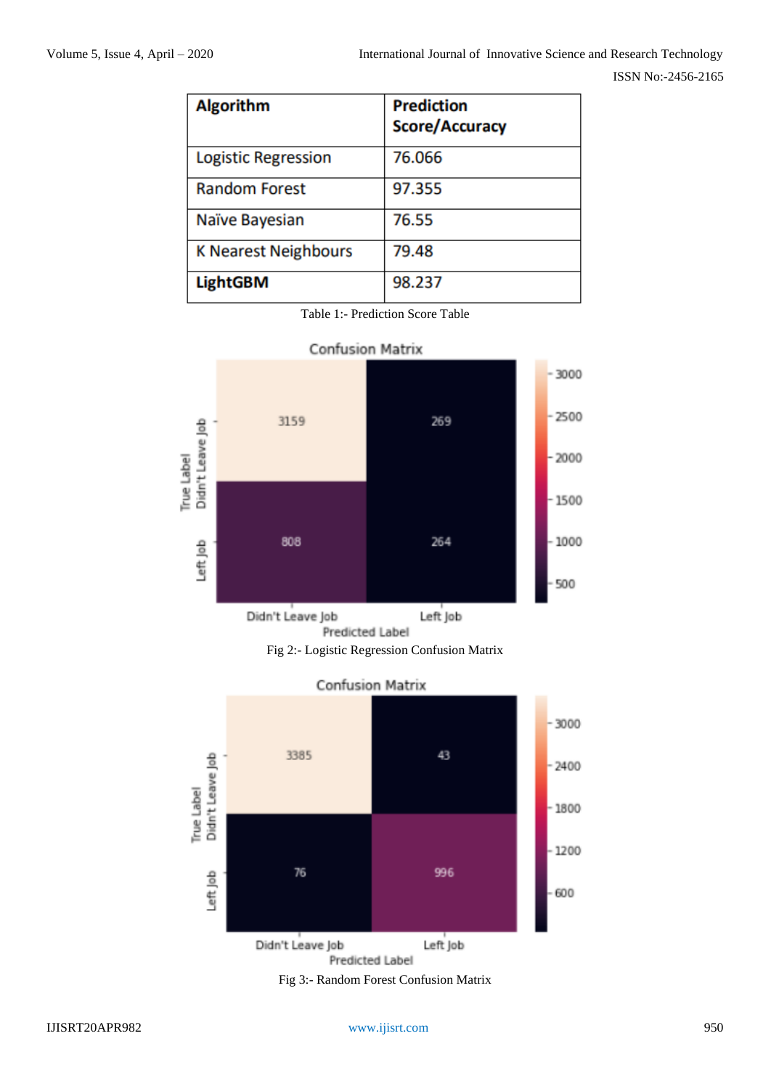| <b>Algorithm</b>            | <b>Prediction</b><br><b>Score/Accuracy</b> |
|-----------------------------|--------------------------------------------|
| Logistic Regression         | 76.066                                     |
| <b>Random Forest</b>        | 97.355                                     |
| Naïve Bayesian              | 76.55                                      |
| <b>K Nearest Neighbours</b> | 79.48                                      |
| <b>LightGBM</b>             | 98.237                                     |









Fig 3:- Random Forest Confusion Matrix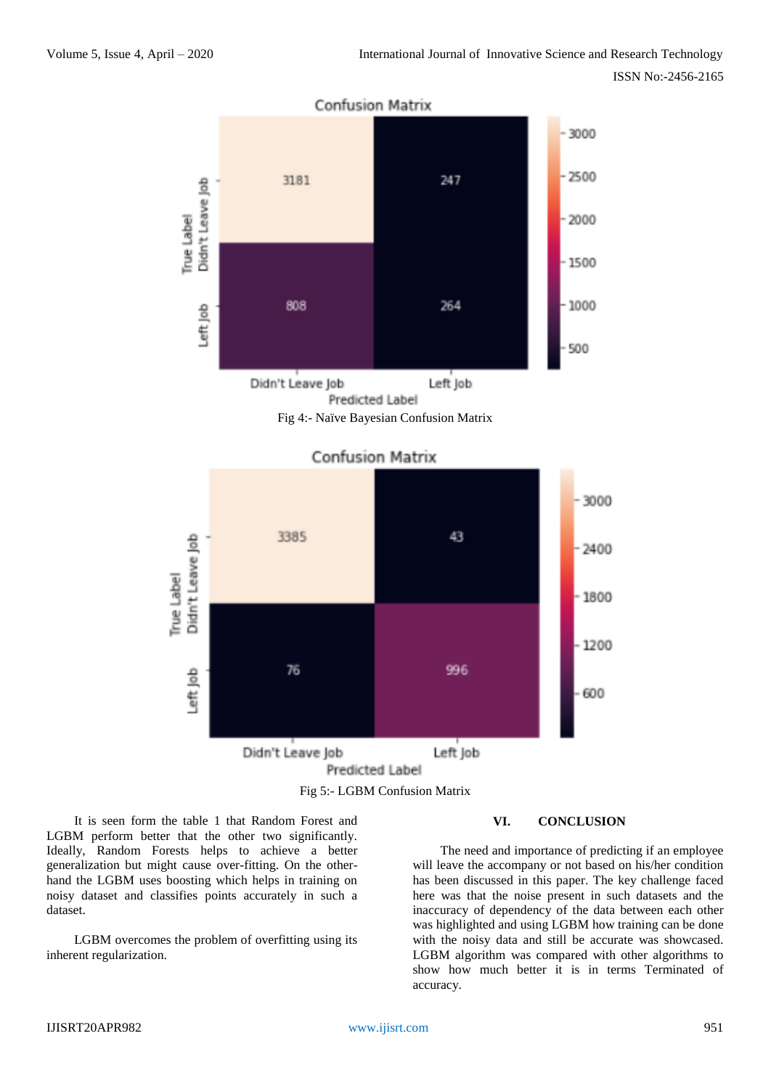



It is seen form the table 1 that Random Forest and LGBM perform better that the other two significantly. Ideally, Random Forests helps to achieve a better generalization but might cause over-fitting. On the otherhand the LGBM uses boosting which helps in training on noisy dataset and classifies points accurately in such a dataset.

LGBM overcomes the problem of overfitting using its inherent regularization.

## **VI. CONCLUSION**

The need and importance of predicting if an employee will leave the accompany or not based on his/her condition has been discussed in this paper. The key challenge faced here was that the noise present in such datasets and the inaccuracy of dependency of the data between each other was highlighted and using LGBM how training can be done with the noisy data and still be accurate was showcased. LGBM algorithm was compared with other algorithms to show how much better it is in terms Terminated of accuracy.